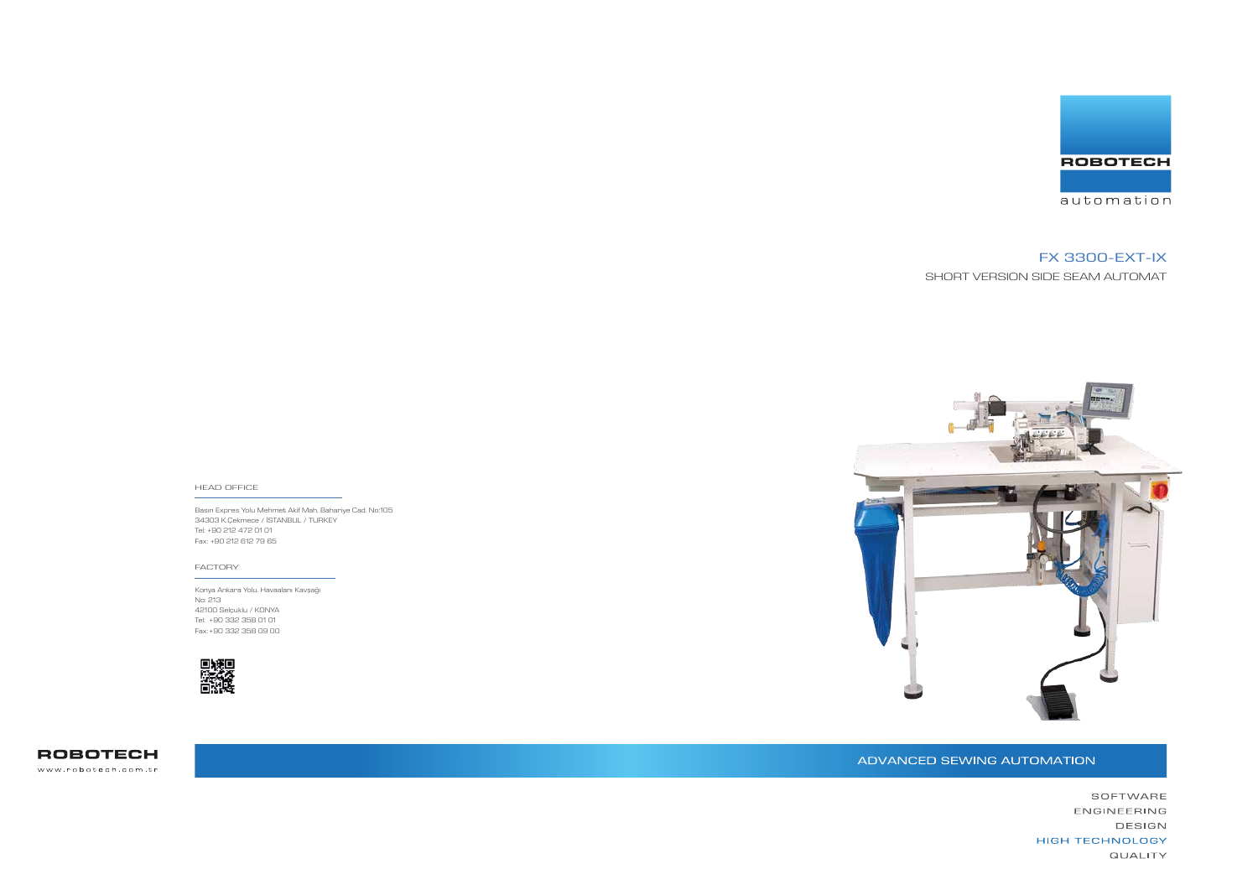Basın Expres Yolu Mehmet Akif Mah. Bahariye Cad. No:105 34303 K.Çekmece / İSTANBUL / TURKEY Tel: +90 212 472 01 01 Fax: +90 212 612 79 65

#### HEAD OFFICE

Konya Ankara Yolu. Havaalanı Kavşağı No: 213 42100 Selçuklu / KONYA Tel: +90 332 358 01 01 Fax: +90 332 358 09 00





**ROBOTECH** www.robotech.com.tr

ADVANCED SEWING AUTOMATION



#### FACTORY

# FX 3300-EXT-IX

SHORT VERSION SIDE SEAM AUTOMAT

SOFTWARE ENGINEERING DESIGN **HIGH TECHNOLOGY QUALITY**